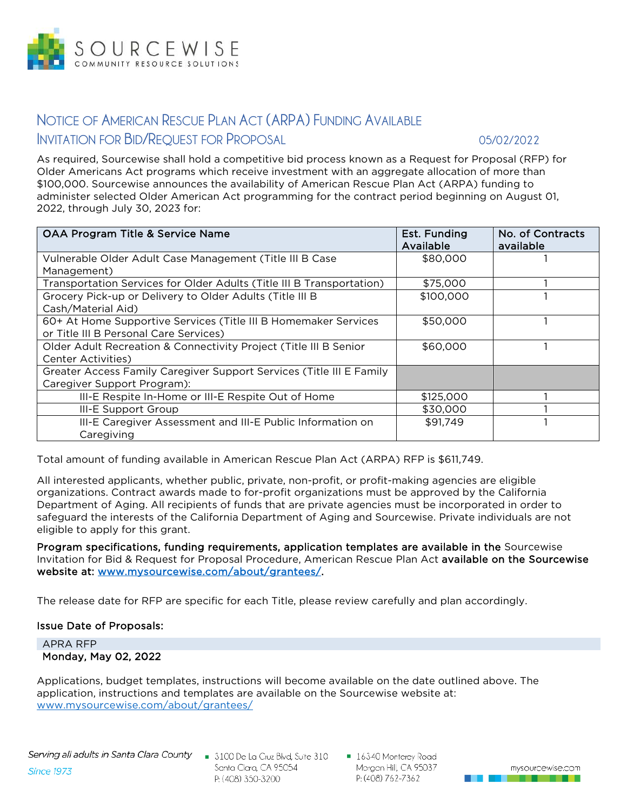

# **NOTICE OF AMERICAN RESCUE PLAN ACT (ARPA) FUNDING AVAILABLE INVITATION FOR BID/REQUEST FOR PROPOSAL 05/02/2022**

As required, Sourcewise shall hold a competitive bid process known as a Request for Proposal (RFP) for Older Americans Act programs which receive investment with an aggregate allocation of more than \$100,000. Sourcewise announces the availability of American Rescue Plan Act (ARPA) funding to administer selected Older American Act programming for the contract period beginning on August 01, 2022, through July 30, 2023 for:

| <b>OAA Program Title &amp; Service Name</b>                           | Est. Funding<br>Available | No. of Contracts<br>available |
|-----------------------------------------------------------------------|---------------------------|-------------------------------|
| Vulnerable Older Adult Case Management (Title III B Case              | \$80,000                  |                               |
| Management)                                                           |                           |                               |
| Transportation Services for Older Adults (Title III B Transportation) | \$75,000                  |                               |
| Grocery Pick-up or Delivery to Older Adults (Title III B              | \$100,000                 |                               |
| Cash/Material Aid)                                                    |                           |                               |
| 60+ At Home Supportive Services (Title III B Homemaker Services       | \$50,000                  |                               |
| or Title III B Personal Care Services)                                |                           |                               |
| Older Adult Recreation & Connectivity Project (Title III B Senior     | \$60,000                  |                               |
| Center Activities)                                                    |                           |                               |
| Greater Access Family Caregiver Support Services (Title III E Family  |                           |                               |
| Caregiver Support Program):                                           |                           |                               |
| III-E Respite In-Home or III-E Respite Out of Home                    | \$125,000                 |                               |
| III-E Support Group                                                   | \$30,000                  |                               |
| III-E Caregiver Assessment and III-E Public Information on            | \$91,749                  |                               |
| Caregiving                                                            |                           |                               |

Total amount of funding available in American Rescue Plan Act (ARPA) RFP is \$611,749.

All interested applicants, whether public, private, non-profit, or profit-making agencies are eligible organizations. Contract awards made to for-profit organizations must be approved by the California Department of Aging. All recipients of funds that are private agencies must be incorporated in order to safeguard the interests of the California Department of Aging and Sourcewise. Private individuals are not eligible to apply for this grant.

Program specifications, funding requirements, application templates are available in the Sourcewise Invitation for Bid & Request for Proposal Procedure, American Rescue Plan Act available on the Sourcewise website at: [www.mysourcewise.com/about/grantees/.](https://www.mysourcewise.com/about/grantees/)

The release date for RFP are specific for each Title, please review carefully and plan accordingly.

#### Issue Date of Proposals:

APRA RFP Monday, May 02, 2022

Applications, budget templates, instructions will become available on the date outlined above. The application, instructions and templates are available on the Sourcewise website at: [www.mysourcewise.com/about/grantees/](http://www.mysourcewise.com/about/grantees/) 

Santa Clara, CA 95054 P: (408) 350-3200

■ 16340 Monterey Road Morgan Hill, CA 95037 P: (408) 762-7362